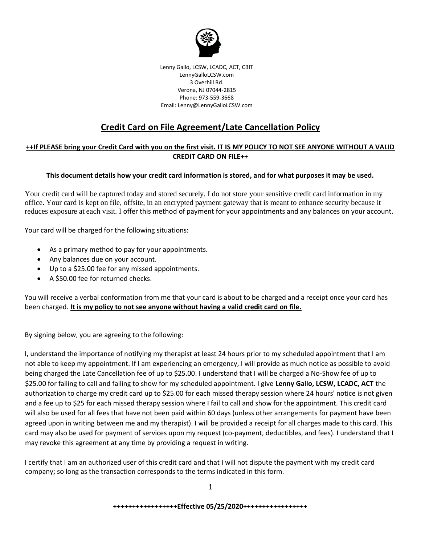

Lenny Gallo, LCSW, LCADC, ACT, CBIT LennyGalloLCSW.com 3 Overhill Rd. Verona, NJ 07044-2815 Phone: 973-559-3668 Email: Lenny@LennyGalloLCSW.com

## **Credit Card on File Agreement/Late Cancellation Policy**

## **++If PLEASE bring your Credit Card with you on the first visit. IT IS MY POLICY TO NOT SEE ANYONE WITHOUT A VALID CREDIT CARD ON FILE++**

## **This document details how your credit card information is stored, and for what purposes it may be used.**

Your credit card will be captured today and stored securely. I do not store your sensitive credit card information in my office. Your card is kept on file, offsite, in an encrypted payment gateway that is meant to enhance security because it reduces exposure at each visit. I offer this method of payment for your appointments and any balances on your account.

Your card will be charged for the following situations:

- As a primary method to pay for your appointments.
- Any balances due on your account.
- Up to a \$25.00 fee for any missed appointments.
- A \$50.00 fee for returned checks.

You will receive a verbal conformation from me that your card is about to be charged and a receipt once your card has been charged. **It is my policy to not see anyone without having a valid credit card on file.**

By signing below, you are agreeing to the following:

I, understand the importance of notifying my therapist at least 24 hours prior to my scheduled appointment that I am not able to keep my appointment. If I am experiencing an emergency, I will provide as much notice as possible to avoid being charged the Late Cancellation fee of up to \$25.00. I understand that I will be charged a No-Show fee of up to \$25.00 for failing to call and failing to show for my scheduled appointment. I give **Lenny Gallo, LCSW, LCADC, ACT** the authorization to charge my credit card up to \$25.00 for each missed therapy session where 24 hours' notice is not given and a fee up to \$25 for each missed therapy session where I fail to call and show for the appointment. This credit card will also be used for all fees that have not been paid within 60 days (unless other arrangements for payment have been agreed upon in writing between me and my therapist). I will be provided a receipt for all charges made to this card. This card may also be used for payment of services upon my request (co-payment, deductibles, and fees). I understand that I may revoke this agreement at any time by providing a request in writing.

I certify that I am an authorized user of this credit card and that I will not dispute the payment with my credit card company; so long as the transaction corresponds to the terms indicated in this form.